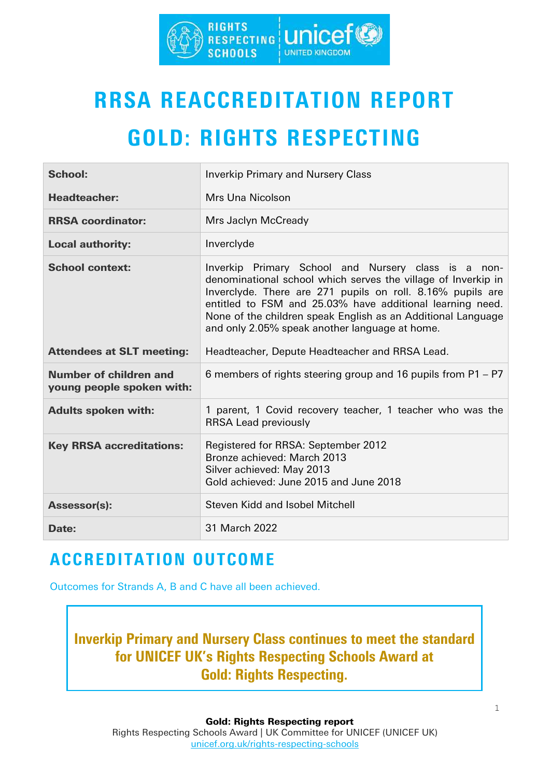

# RRSA REACCREDITATION REPORT

## GOLD: RIGHTS RESPECTING

| <b>School:</b>                                             | <b>Inverkip Primary and Nursery Class</b>                                                                                                                                                                                                                                                                                                                         |
|------------------------------------------------------------|-------------------------------------------------------------------------------------------------------------------------------------------------------------------------------------------------------------------------------------------------------------------------------------------------------------------------------------------------------------------|
| <b>Headteacher:</b>                                        | Mrs Una Nicolson                                                                                                                                                                                                                                                                                                                                                  |
| <b>RRSA coordinator:</b>                                   | Mrs Jaclyn McCready                                                                                                                                                                                                                                                                                                                                               |
| <b>Local authority:</b>                                    | Inverclyde                                                                                                                                                                                                                                                                                                                                                        |
| <b>School context:</b>                                     | Inverkip Primary School and Nursery class is a non-<br>denominational school which serves the village of Inverkip in<br>Inverclyde. There are 271 pupils on roll. 8.16% pupils are<br>entitled to FSM and 25.03% have additional learning need.<br>None of the children speak English as an Additional Language<br>and only 2.05% speak another language at home. |
| <b>Attendees at SLT meeting:</b>                           | Headteacher, Depute Headteacher and RRSA Lead.                                                                                                                                                                                                                                                                                                                    |
| <b>Number of children and</b><br>young people spoken with: | 6 members of rights steering group and 16 pupils from P1 – P7                                                                                                                                                                                                                                                                                                     |
| <b>Adults spoken with:</b>                                 | 1 parent, 1 Covid recovery teacher, 1 teacher who was the<br><b>RRSA Lead previously</b>                                                                                                                                                                                                                                                                          |
| <b>Key RRSA accreditations:</b>                            | Registered for RRSA: September 2012<br>Bronze achieved: March 2013<br>Silver achieved: May 2013<br>Gold achieved: June 2015 and June 2018                                                                                                                                                                                                                         |
| <b>Assessor(s):</b>                                        | <b>Steven Kidd and Isobel Mitchell</b>                                                                                                                                                                                                                                                                                                                            |
| Date:                                                      | 31 March 2022                                                                                                                                                                                                                                                                                                                                                     |

## ACCREDITATION OUTCOME

Outcomes for Strands A, B and C have all been achieved.

Inverkip Primary and Nursery Class continues to meet the standard for UNICEF UK's Rights Respecting Schools Award at Gold: Rights Respecting.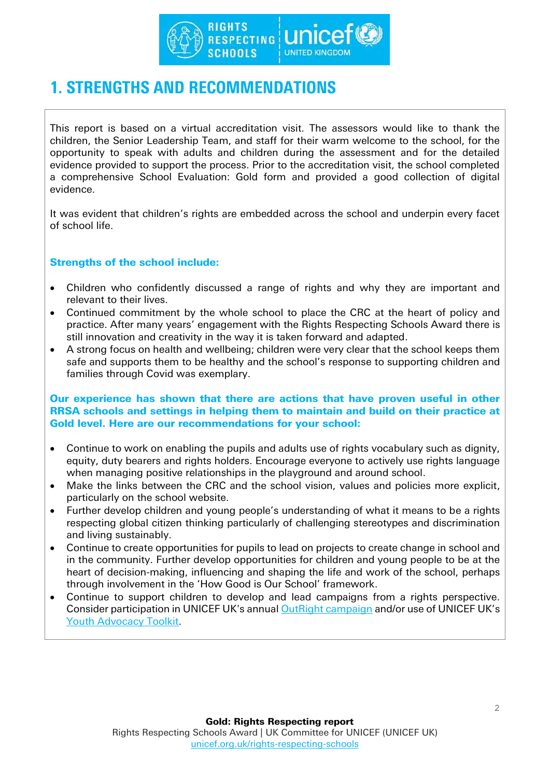

### 1. STRENGTHS AND RECOMMENDATIONS

This report is based on a virtual accreditation visit. The assessors would like to thank the children, the Senior Leadership Team, and staff for their warm welcome to the school, for the opportunity to speak with adults and children during the assessment and for the detailed evidence provided to support the process. Prior to the accreditation visit, the school completed a comprehensive School Evaluation: Gold form and provided a good collection of digital evidence.

It was evident that children's rights are embedded across the school and underpin every facet of school life.

#### Strengths of the school include:

- Children who confidently discussed a range of rights and why they are important and relevant to their lives.
- Continued commitment by the whole school to place the CRC at the heart of policy and practice. After many years' engagement with the Rights Respecting Schools Award there is still innovation and creativity in the way it is taken forward and adapted.
- A strong focus on health and wellbeing; children were very clear that the school keeps them safe and supports them to be healthy and the school's response to supporting children and families through Covid was exemplary.

#### Our experience has shown that there are actions that have proven useful in other RRSA schools and settings in helping them to maintain and build on their practice at Gold level. Here are our recommendations for your school:

- Continue to work on enabling the pupils and adults use of rights vocabulary such as dignity, equity, duty bearers and rights holders. Encourage everyone to actively use rights language when managing positive relationships in the playground and around school.
- Make the links between the CRC and the school vision, values and policies more explicit, particularly on the school website.
- Further develop children and young people's understanding of what it means to be a rights respecting global citizen thinking particularly of challenging stereotypes and discrimination and living sustainably.
- Continue to create opportunities for pupils to lead on projects to create change in school and in the community. Further develop opportunities for children and young people to be at the heart of decision-making, influencing and shaping the life and work of the school, perhaps through involvement in the 'How Good is Our School' framework.
- Continue to support children to develop and lead campaigns from a rights perspective. Consider participation in UNICEF UK's annual [OutRight campaign](https://www.unicef.org.uk/rights-respecting-schools/resources/teaching-resources/outright/outright-speak-out-on-childrens-rights/) and/or use of UNICEF UK's [Youth Advocacy Toolkit.](https://www.unicef.org.uk/working-with-young-people/youth-advocacy-toolkit/)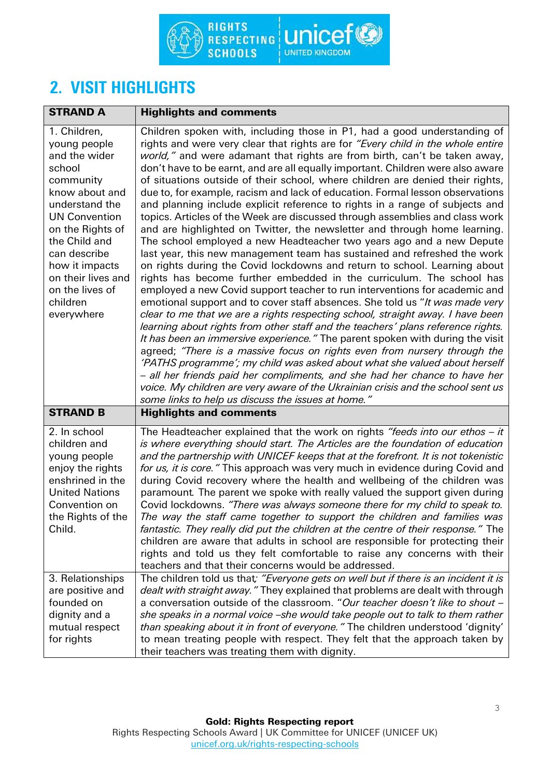

## 2. VISIT HIGHLIGHTS

| <b>STRAND A</b>                                                                                                                                                                                                                                                            | <b>Highlights and comments</b>                                                                                                                                                                                                                                                                                                                                                                                                                                                                                                                                                                                                                                                                                                                                                                                                                                                                                                                                                                                                                                                                                                                                                                                                                                                                                                                                                                                                                                                                                                                                                                                                                                                                                                                                                                                                                              |
|----------------------------------------------------------------------------------------------------------------------------------------------------------------------------------------------------------------------------------------------------------------------------|-------------------------------------------------------------------------------------------------------------------------------------------------------------------------------------------------------------------------------------------------------------------------------------------------------------------------------------------------------------------------------------------------------------------------------------------------------------------------------------------------------------------------------------------------------------------------------------------------------------------------------------------------------------------------------------------------------------------------------------------------------------------------------------------------------------------------------------------------------------------------------------------------------------------------------------------------------------------------------------------------------------------------------------------------------------------------------------------------------------------------------------------------------------------------------------------------------------------------------------------------------------------------------------------------------------------------------------------------------------------------------------------------------------------------------------------------------------------------------------------------------------------------------------------------------------------------------------------------------------------------------------------------------------------------------------------------------------------------------------------------------------------------------------------------------------------------------------------------------------|
| 1. Children,<br>young people<br>and the wider<br>school<br>community<br>know about and<br>understand the<br><b>UN Convention</b><br>on the Rights of<br>the Child and<br>can describe<br>how it impacts<br>on their lives and<br>on the lives of<br>children<br>everywhere | Children spoken with, including those in P1, had a good understanding of<br>rights and were very clear that rights are for "Every child in the whole entire<br>world," and were adamant that rights are from birth, can't be taken away,<br>don't have to be earnt, and are all equally important. Children were also aware<br>of situations outside of their school, where children are denied their rights,<br>due to, for example, racism and lack of education. Formal lesson observations<br>and planning include explicit reference to rights in a range of subjects and<br>topics. Articles of the Week are discussed through assemblies and class work<br>and are highlighted on Twitter, the newsletter and through home learning.<br>The school employed a new Headteacher two years ago and a new Depute<br>last year, this new management team has sustained and refreshed the work<br>on rights during the Covid lockdowns and return to school. Learning about<br>rights has become further embedded in the curriculum. The school has<br>employed a new Covid support teacher to run interventions for academic and<br>emotional support and to cover staff absences. She told us "It was made very<br>clear to me that we are a rights respecting school, straight away. I have been<br>learning about rights from other staff and the teachers' plans reference rights.<br>It has been an immersive experience." The parent spoken with during the visit<br>agreed; "There is a massive focus on rights even from nursery through the<br>'PATHS programme'; my child was asked about what she valued about herself<br>- all her friends paid her compliments, and she had her chance to have her<br>voice. My children are very aware of the Ukrainian crisis and the school sent us<br>some links to help us discuss the issues at home." |
| <b>STRAND B</b>                                                                                                                                                                                                                                                            | <b>Highlights and comments</b>                                                                                                                                                                                                                                                                                                                                                                                                                                                                                                                                                                                                                                                                                                                                                                                                                                                                                                                                                                                                                                                                                                                                                                                                                                                                                                                                                                                                                                                                                                                                                                                                                                                                                                                                                                                                                              |
| 2. In school<br>children and<br>young people<br>enjoy the rights<br>enshrined in the<br><b>United Nations</b><br>Convention on<br>the Rights of the<br>Child.                                                                                                              | The Headteacher explained that the work on rights "feeds into our ethos $-i$ it<br>is where everything should start. The Articles are the foundation of education<br>and the partnership with UNICEF keeps that at the forefront. It is not tokenistic<br>for us, it is core." This approach was very much in evidence during Covid and<br>during Covid recovery where the health and wellbeing of the children was<br>paramount. The parent we spoke with really valued the support given during<br>Covid lockdowns. "There was always someone there for my child to speak to.<br>The way the staff came together to support the children and families was<br>fantastic. They really did put the children at the centre of their response." The<br>children are aware that adults in school are responsible for protecting their<br>rights and told us they felt comfortable to raise any concerns with their<br>teachers and that their concerns would be addressed.                                                                                                                                                                                                                                                                                                                                                                                                                                                                                                                                                                                                                                                                                                                                                                                                                                                                                      |
| 3. Relationships<br>are positive and<br>founded on<br>dignity and a<br>mutual respect<br>for rights                                                                                                                                                                        | The children told us that; "Everyone gets on well but if there is an incident it is<br>dealt with straight away." They explained that problems are dealt with through<br>a conversation outside of the classroom. "Our teacher doesn't like to shout -<br>she speaks in a normal voice -she would take people out to talk to them rather<br>than speaking about it in front of everyone." The children understood 'dignity'<br>to mean treating people with respect. They felt that the approach taken by<br>their teachers was treating them with dignity.                                                                                                                                                                                                                                                                                                                                                                                                                                                                                                                                                                                                                                                                                                                                                                                                                                                                                                                                                                                                                                                                                                                                                                                                                                                                                                 |